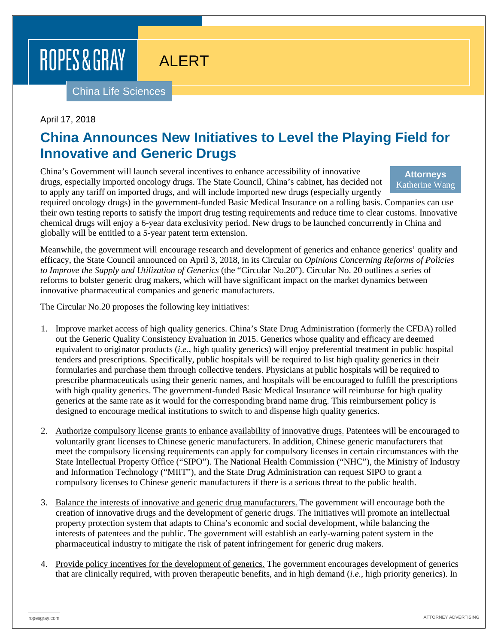ROPES & GRAY

# ALERT

China Life Sciences

### April 17, 2018

### **China Announces New Initiatives to Level the Playing Field for Innovative and Generic Drugs**

China's Government will launch several incentives to enhance accessibility of innovative drugs, especially imported oncology drugs. The State Council, China's cabinet, has decided not to apply any tariff on imported drugs, and will include imported new drugs (especially urgently

#### **Attorneys** [Katherine Wang](https://www.ropesgray.com/en/biographies/w/katherine-wang)

required oncology drugs) in the government-funded Basic Medical Insurance on a rolling basis. Companies can use their own testing reports to satisfy the import drug testing requirements and reduce time to clear customs. Innovative chemical drugs will enjoy a 6-year data exclusivity period. New drugs to be launched concurrently in China and globally will be entitled to a 5-year patent term extension.

Meanwhile, the government will encourage research and development of generics and enhance generics' quality and efficacy, the State Council announced on April 3, 2018, in its Circular on *Opinions Concerning Reforms of Policies to Improve the Supply and Utilization of Generics* (the "Circular No.20"). Circular No. 20 outlines a series of reforms to bolster generic drug makers, which will have significant impact on the market dynamics between innovative pharmaceutical companies and generic manufacturers.

The Circular No.20 proposes the following key initiatives:

- 1. Improve market access of high quality generics. China's State Drug Administration (formerly the CFDA) rolled out the Generic Quality Consistency Evaluation in 2015. Generics whose quality and efficacy are deemed equivalent to originator products (*i.e.*, high quality generics) will enjoy preferential treatment in public hospital tenders and prescriptions. Specifically, public hospitals will be required to list high quality generics in their formularies and purchase them through collective tenders. Physicians at public hospitals will be required to prescribe pharmaceuticals using their generic names, and hospitals will be encouraged to fulfill the prescriptions with high quality generics. The government-funded Basic Medical Insurance will reimburse for high quality generics at the same rate as it would for the corresponding brand name drug. This reimbursement policy is designed to encourage medical institutions to switch to and dispense high quality generics.
- 2. Authorize compulsory license grants to enhance availability of innovative drugs. Patentees will be encouraged to voluntarily grant licenses to Chinese generic manufacturers. In addition, Chinese generic manufacturers that meet the compulsory licensing requirements can apply for compulsory licenses in certain circumstances with the State Intellectual Property Office ("SIPO"). The National Health Commission ("NHC"), the Ministry of Industry and Information Technology ("MIIT"), and the State Drug Administration can request SIPO to grant a compulsory licenses to Chinese generic manufacturers if there is a serious threat to the public health.
- 3. Balance the interests of innovative and generic drug manufacturers. The government will encourage both the creation of innovative drugs and the development of generic drugs. The initiatives will promote an intellectual property protection system that adapts to China's economic and social development, while balancing the interests of patentees and the public. The government will establish an early-warning patent system in the pharmaceutical industry to mitigate the risk of patent infringement for generic drug makers.
- 4. Provide policy incentives for the development of generics. The government encourages development of generics that are clinically required, with proven therapeutic benefits, and in high demand (*i.e.*, high priority generics). In